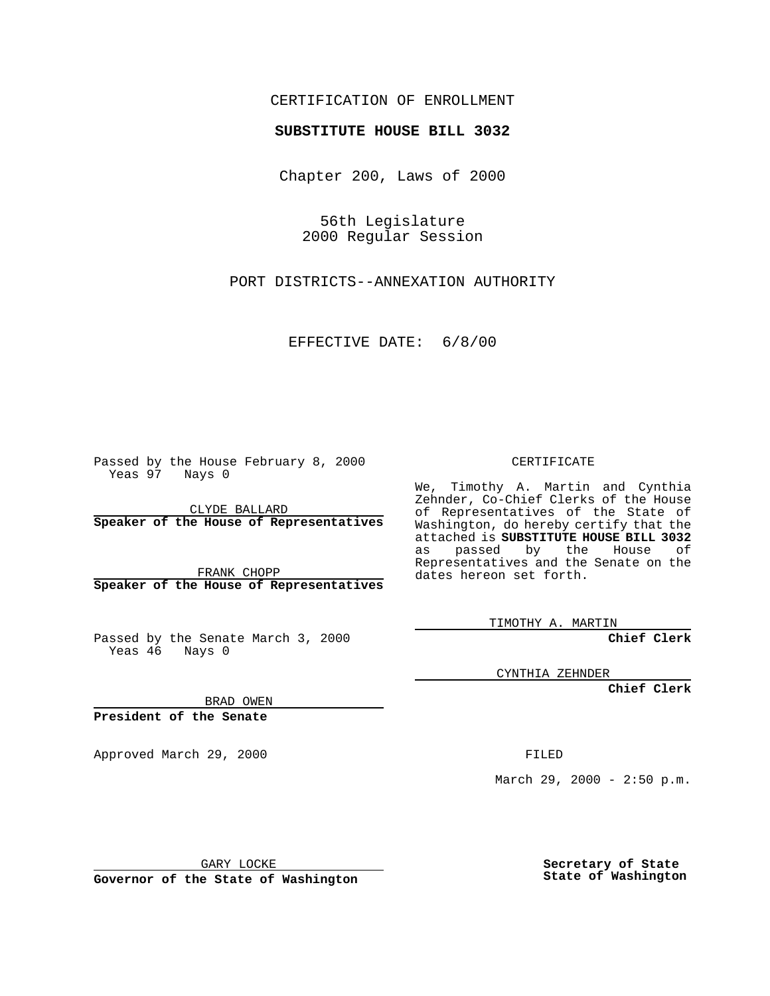## CERTIFICATION OF ENROLLMENT

## **SUBSTITUTE HOUSE BILL 3032**

Chapter 200, Laws of 2000

56th Legislature 2000 Regular Session

PORT DISTRICTS--ANNEXATION AUTHORITY

EFFECTIVE DATE: 6/8/00

Passed by the House February 8, 2000 Yeas 97 Nays 0

CLYDE BALLARD **Speaker of the House of Representatives**

FRANK CHOPP **Speaker of the House of Representatives**

Passed by the Senate March 3, 2000 Yeas 46 Nays 0

CERTIFICATE

We, Timothy A. Martin and Cynthia Zehnder, Co-Chief Clerks of the House of Representatives of the State of Washington, do hereby certify that the attached is **SUBSTITUTE HOUSE BILL 3032** as passed by the House of Representatives and the Senate on the dates hereon set forth.

TIMOTHY A. MARTIN

**Chief Clerk**

CYNTHIA ZEHNDER

**Chief Clerk**

BRAD OWEN

**President of the Senate**

Approved March 29, 2000 FILED

March 29, 2000 - 2:50 p.m.

GARY LOCKE

**Governor of the State of Washington**

**Secretary of State State of Washington**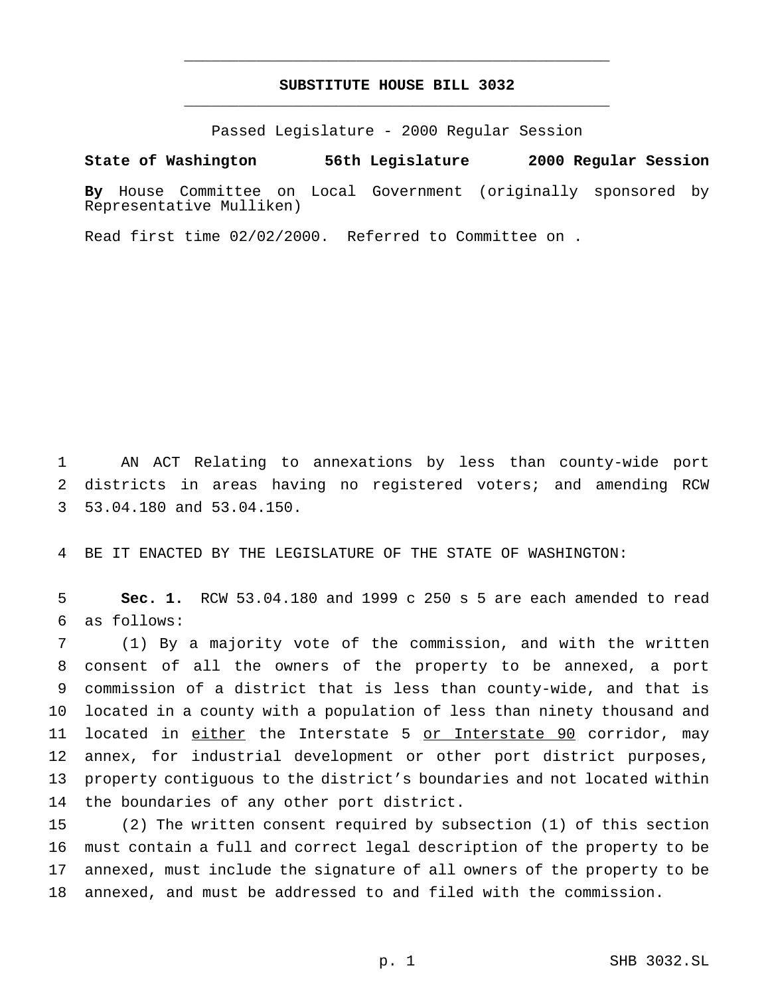## **SUBSTITUTE HOUSE BILL 3032** \_\_\_\_\_\_\_\_\_\_\_\_\_\_\_\_\_\_\_\_\_\_\_\_\_\_\_\_\_\_\_\_\_\_\_\_\_\_\_\_\_\_\_\_\_\_\_

\_\_\_\_\_\_\_\_\_\_\_\_\_\_\_\_\_\_\_\_\_\_\_\_\_\_\_\_\_\_\_\_\_\_\_\_\_\_\_\_\_\_\_\_\_\_\_

Passed Legislature - 2000 Regular Session

## **State of Washington 56th Legislature 2000 Regular Session**

**By** House Committee on Local Government (originally sponsored by Representative Mulliken)

Read first time 02/02/2000. Referred to Committee on .

 AN ACT Relating to annexations by less than county-wide port districts in areas having no registered voters; and amending RCW 53.04.180 and 53.04.150.

BE IT ENACTED BY THE LEGISLATURE OF THE STATE OF WASHINGTON:

 **Sec. 1.** RCW 53.04.180 and 1999 c 250 s 5 are each amended to read as follows:

 (1) By a majority vote of the commission, and with the written consent of all the owners of the property to be annexed, a port commission of a district that is less than county-wide, and that is located in a county with a population of less than ninety thousand and 11 located in either the Interstate 5 or Interstate 90 corridor, may annex, for industrial development or other port district purposes, property contiguous to the district's boundaries and not located within the boundaries of any other port district.

 (2) The written consent required by subsection (1) of this section must contain a full and correct legal description of the property to be annexed, must include the signature of all owners of the property to be annexed, and must be addressed to and filed with the commission.